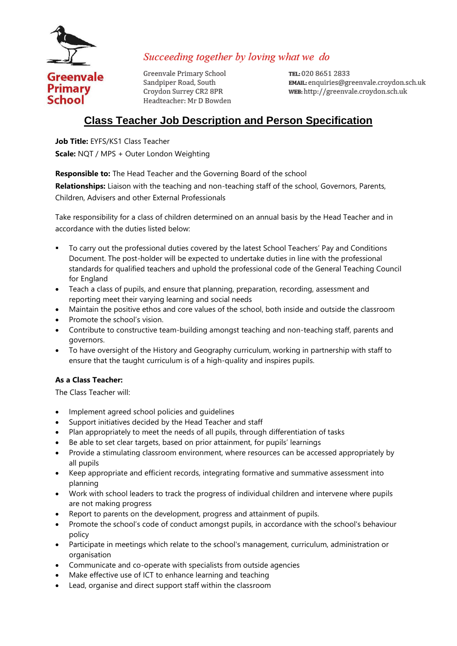

Succeeding together by loving what we do

Greenvale Primary School Sandpiper Road, South Croydon Surrey CR2 8PR Headteacher: Mr D Bowden

TEL: 020 8651 2833 EMAIL: enquiries@greenvale.crovdon.sch.uk WEB: http://greenvale.croydon.sch.uk

# **Class Teacher Job Description and Person Specification**

**Job Title:** EYFS/KS1 Class Teacher **Scale:** NQT / MPS + Outer London Weighting

**Responsible to:** The Head Teacher and the Governing Board of the school

**Relationships:** Liaison with the teaching and non-teaching staff of the school, Governors, Parents, Children, Advisers and other External Professionals

Take responsibility for a class of children determined on an annual basis by the Head Teacher and in accordance with the duties listed below:

- To carry out the professional duties covered by the latest School Teachers' Pay and Conditions Document. The post-holder will be expected to undertake duties in line with the professional standards for qualified teachers and uphold the professional code of the General Teaching Council for England
- Teach a class of pupils, and ensure that planning, preparation, recording, assessment and reporting meet their varying learning and social needs
- Maintain the positive ethos and core values of the school, both inside and outside the classroom
- Promote the school's vision.
- Contribute to constructive team-building amongst teaching and non-teaching staff, parents and governors.
- To have oversight of the History and Geography curriculum, working in partnership with staff to ensure that the taught curriculum is of a high-quality and inspires pupils.

### **As a Class Teacher:**

The Class Teacher will:

- Implement agreed school policies and guidelines
- Support initiatives decided by the Head Teacher and staff
- Plan appropriately to meet the needs of all pupils, through differentiation of tasks
- Be able to set clear targets, based on prior attainment, for pupils' learnings
- Provide a stimulating classroom environment, where resources can be accessed appropriately by all pupils
- Keep appropriate and efficient records, integrating formative and summative assessment into planning
- Work with school leaders to track the progress of individual children and intervene where pupils are not making progress
- Report to parents on the development, progress and attainment of pupils.
- Promote the school's code of conduct amongst pupils, in accordance with the school's behaviour policy
- Participate in meetings which relate to the school's management, curriculum, administration or organisation
- Communicate and co-operate with specialists from outside agencies
- Make effective use of ICT to enhance learning and teaching
- Lead, organise and direct support staff within the classroom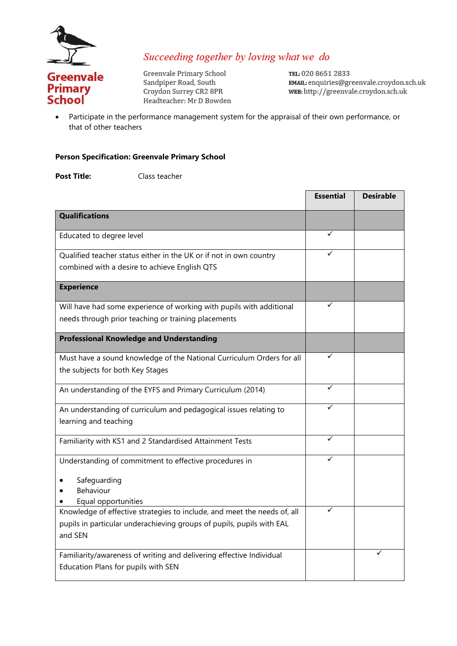

### Succeeding together by loving what we do

Greenvale Primary School Sandpiper Road, South Croydon Surrey CR2 8PR Headteacher: Mr D Bowden TEL: 020 8651 2833 EMAIL: enquiries@greenvale.croydon.sch.uk WEB: http://greenvale.croydon.sch.uk

• Participate in the performance management system for the appraisal of their own performance, or that of other teachers

### **Person Specification: Greenvale Primary School**

**Post Title:** Class teacher

|                                                                                                                                                              | <b>Essential</b> | <b>Desirable</b> |
|--------------------------------------------------------------------------------------------------------------------------------------------------------------|------------------|------------------|
| <b>Qualifications</b>                                                                                                                                        |                  |                  |
| Educated to degree level                                                                                                                                     | ✓                |                  |
| Qualified teacher status either in the UK or if not in own country<br>combined with a desire to achieve English QTS                                          |                  |                  |
| <b>Experience</b>                                                                                                                                            |                  |                  |
| Will have had some experience of working with pupils with additional<br>needs through prior teaching or training placements                                  |                  |                  |
| <b>Professional Knowledge and Understanding</b>                                                                                                              |                  |                  |
| Must have a sound knowledge of the National Curriculum Orders for all<br>the subjects for both Key Stages                                                    |                  |                  |
| An understanding of the EYFS and Primary Curriculum (2014)                                                                                                   | ✓                |                  |
| An understanding of curriculum and pedagogical issues relating to<br>learning and teaching                                                                   |                  |                  |
| Familiarity with KS1 and 2 Standardised Attainment Tests                                                                                                     | ✓                |                  |
| Understanding of commitment to effective procedures in<br>Safeguarding<br>Behaviour<br>Equal opportunities                                                   |                  |                  |
| Knowledge of effective strategies to include, and meet the needs of, all<br>pupils in particular underachieving groups of pupils, pupils with EAL<br>and SEN |                  |                  |
| Familiarity/awareness of writing and delivering effective Individual<br>Education Plans for pupils with SEN                                                  |                  |                  |